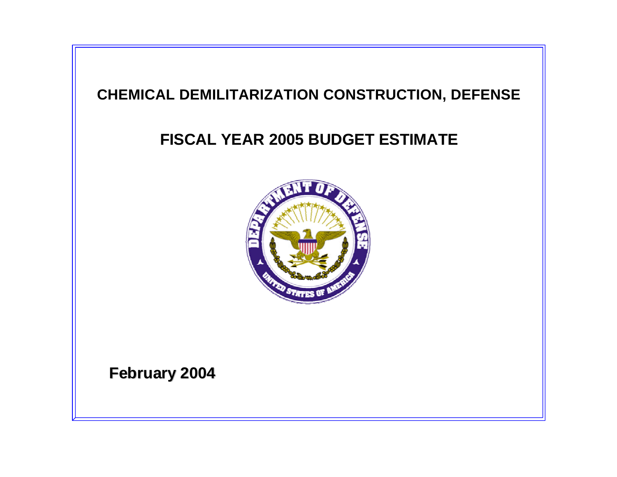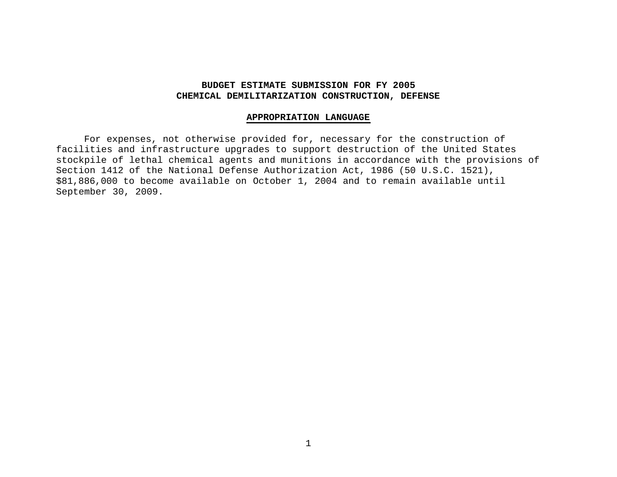# **BUDGET ESTIMATE SUBMISSION FOR FY 2005 CHEMICAL DEMILITARIZATION CONSTRUCTION, DEFENSE**

### **APPROPRIATION LANGUAGE**

For expenses, not otherwise provided for, necessary for the construction of facilities and infrastructure upgrades to support destruction of the United States stockpile of lethal chemical agents and munitions in accordance with the provisions of Section 1412 of the National Defense Authorization Act, 1986 (50 U.S.C. 1521), \$81,886,000 to become available on October 1, 2004 and to remain available until September 30, 2009.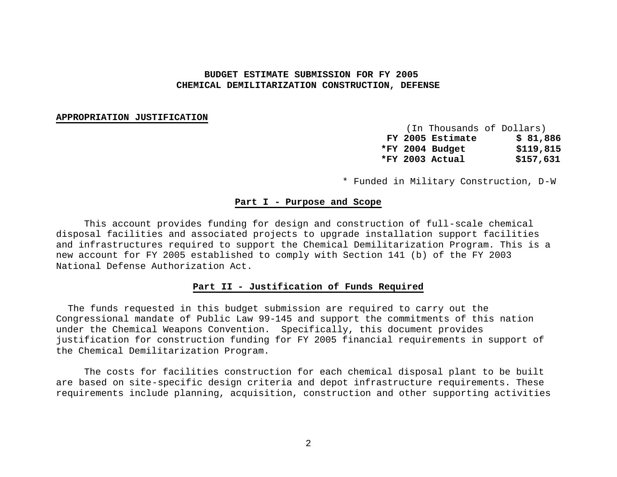# **BUDGET ESTIMATE SUBMISSION FOR FY 2005 CHEMICAL DEMILITARIZATION CONSTRUCTION, DEFENSE**

#### **APPROPRIATION JUSTIFICATION**

(In Thousands of Dollars) **FY 2005 Estimate \$ 81,886 \*FY 2004 Budget \$119,815 \*FY 2003 Actual \$157,631**

\* Funded in Military Construction, D-W

### **Part I - Purpose and Scope**

This account provides funding for design and construction of full-scale chemical disposal facilities and associated projects to upgrade installation support facilities and infrastructures required to support the Chemical Demilitarization Program. This is a new account for FY 2005 established to comply with Section 141 (b) of the FY 2003 National Defense Authorization Act.

## **Part II - Justification of Funds Required**

 The funds requested in this budget submission are required to carry out the Congressional mandate of Public Law 99-145 and support the commitments of this nation under the Chemical Weapons Convention. Specifically, this document provides justification for construction funding for FY 2005 financial requirements in support of the Chemical Demilitarization Program.

The costs for facilities construction for each chemical disposal plant to be built are based on site-specific design criteria and depot infrastructure requirements. These requirements include planning, acquisition, construction and other supporting activities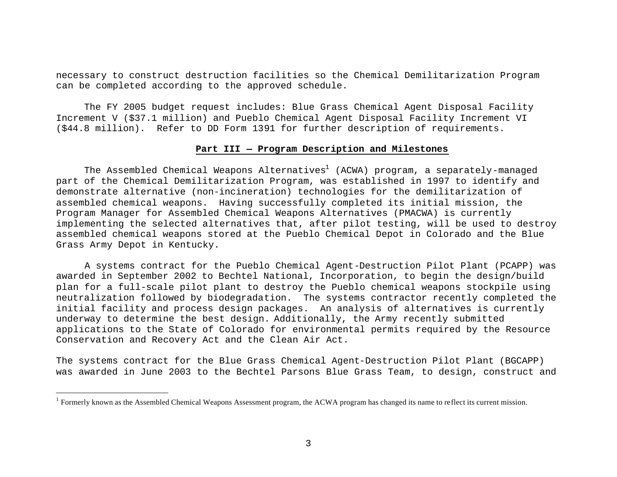necessary to construct destruction facilities so the Chemical Demilitarization Program can be completed according to the approved schedule.

The FY 2005 budget request includes: Blue Grass Chemical Agent Disposal Facility Increment V (\$37.1 million) and Pueblo Chemical Agent Disposal Facility Increment VI (\$44.8 million). Refer to DD Form 1391 for further description of requirements.

#### **Part III — Program Description and Milestones**

The Assembled Chemical Weapons Alternatives<sup>1</sup> (ACWA) program, a separately-managed part of the Chemical Demilitarization Program, was established in 1997 to identify and demonstrate alternative (non-incineration) technologies for the demilitarization of assembled chemical weapons. Having successfully completed its initial mission, the Program Manager for Assembled Chemical Weapons Alternatives (PMACWA) is currently implementing the selected alternatives that, after pilot testing, will be used to destroy assembled chemical weapons stored at the Pueblo Chemical Depot in Colorado and the Blue Grass Army Depot in Kentucky.

 A systems contract for the Pueblo Chemical Agent-Destruction Pilot Plant (PCAPP) was awarded in September 2002 to Bechtel National, Incorporation, to begin the design/build plan for a full-scale pilot plant to destroy the Pueblo chemical weapons stockpile using neutralization followed by biodegradation. The systems contractor recently completed the initial facility and process design packages. An analysis of alternatives is currently underway to determine the best design. Additionally, the Army recently submitted applications to the State of Colorado for environmental permits required by the Resource Conservation and Recovery Act and the Clean Air Act.

The systems contract for the Blue Grass Chemical Agent-Destruction Pilot Plant (BGCAPP) was awarded in June 2003 to the Bechtel Parsons Blue Grass Team, to design, construct and

 $\overline{a}$ 

 $1$  Formerly known as the Assembled Chemical Weapons Assessment program, the ACWA program has changed its name to reflect its current mission.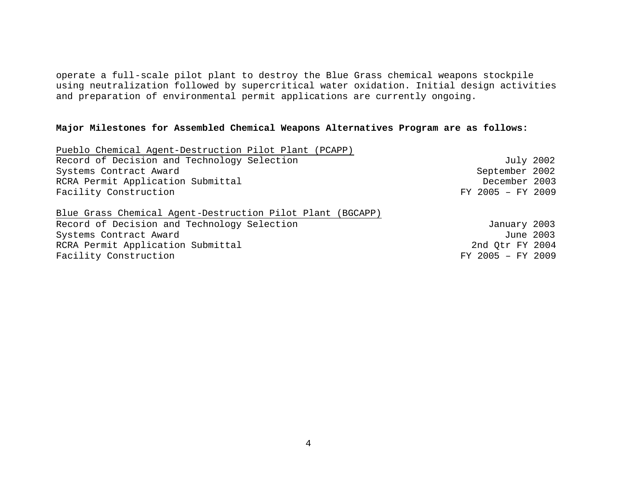operate a full-scale pilot plant to destroy the Blue Grass chemical weapons stockpile using neutralization followed by supercritical water oxidation. Initial design activities and preparation of environmental permit applications are currently ongoing.

# **Major Milestones for Assembled Chemical Weapons Alternatives Program are as follows:**

| Pueblo Chemical Agent-Destruction Pilot Plant (PCAPP)      |                   |  |
|------------------------------------------------------------|-------------------|--|
| Record of Decision and Technology Selection                | July 2002         |  |
| Systems Contract Award                                     | September 2002    |  |
| RCRA Permit Application Submittal                          | December 2003     |  |
| Facility Construction                                      | FY 2005 - FY 2009 |  |
| Blue Grass Chemical Agent-Destruction Pilot Plant (BGCAPP) |                   |  |
| Record of Decision and Technology Selection                | January 2003      |  |
| Systems Contract Award                                     | June 2003         |  |
| RCRA Permit Application Submittal                          | 2nd Otr FY 2004   |  |
| Facility Construction                                      | FY 2005 - FY 2009 |  |